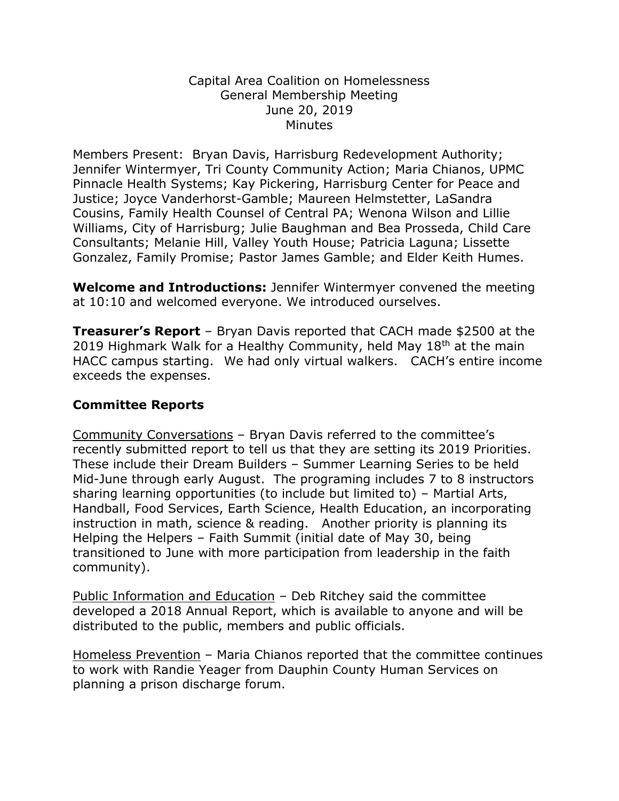## Capital Area Coalition on Homelessness General Membership Meeting June 20, 2019 **Minutes**

Members Present: Bryan Davis, Harrisburg Redevelopment Authority; Jennifer Wintermyer, Tri County Community Action; Maria Chianos, UPMC Pinnacle Health Systems; Kay Pickering, Harrisburg Center for Peace and Justice; Joyce Vanderhorst-Gamble; Maureen Helmstetter, LaSandra Cousins, Family Health Counsel of Central PA; Wenona Wilson and Lillie Williams, City of Harrisburg; Julie Baughman and Bea Prosseda, Child Care Consultants; Melanie Hill, Valley Youth House; Patricia Laguna; Lissette Gonzalez, Family Promise; Pastor James Gamble; and Elder Keith Humes.

**Welcome and Introductions:** Jennifer Wintermyer convened the meeting at 10:10 and welcomed everyone. We introduced ourselves.

**Treasurer's Report** – Bryan Davis reported that CACH made \$2500 at the 2019 Highmark Walk for a Healthy Community, held May  $18<sup>th</sup>$  at the main HACC campus starting. We had only virtual walkers. CACH's entire income exceeds the expenses.

## **Committee Reports**

Community Conversations – Bryan Davis referred to the committee's recently submitted report to tell us that they are setting its 2019 Priorities. These include their Dream Builders – Summer Learning Series to be held Mid-June through early August. The programing includes 7 to 8 instructors sharing learning opportunities (to include but limited to) – Martial Arts, Handball, Food Services, Earth Science, Health Education, an incorporating instruction in math, science & reading. Another priority is planning its Helping the Helpers – Faith Summit (initial date of May 30, being transitioned to June with more participation from leadership in the faith community).

Public Information and Education – Deb Ritchey said the committee developed a 2018 Annual Report, which is available to anyone and will be distributed to the public, members and public officials.

Homeless Prevention – Maria Chianos reported that the committee continues to work with Randie Yeager from Dauphin County Human Services on planning a prison discharge forum.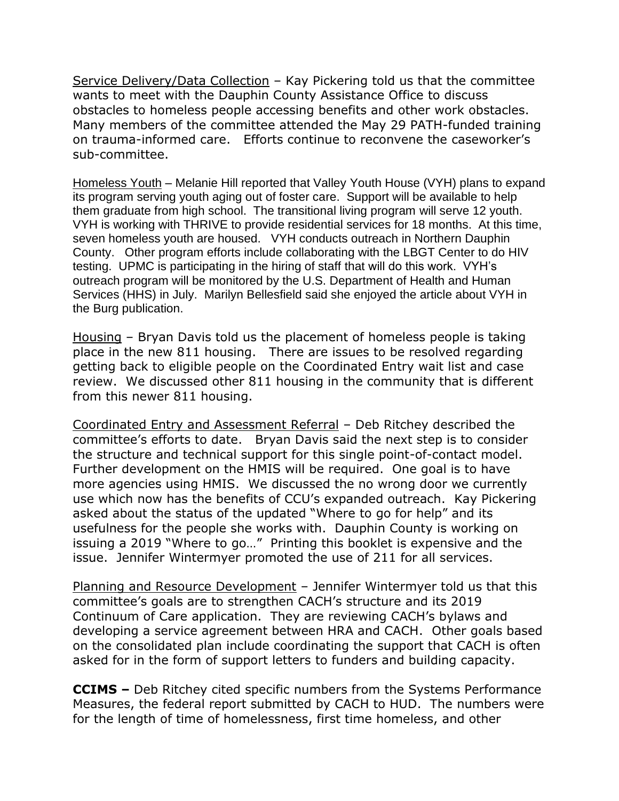Service Delivery/Data Collection – Kay Pickering told us that the committee wants to meet with the Dauphin County Assistance Office to discuss obstacles to homeless people accessing benefits and other work obstacles. Many members of the committee attended the May 29 PATH-funded training on trauma-informed care. Efforts continue to reconvene the caseworker's sub-committee.

Homeless Youth – Melanie Hill reported that Valley Youth House (VYH) plans to expand its program serving youth aging out of foster care. Support will be available to help them graduate from high school. The transitional living program will serve 12 youth. VYH is working with THRIVE to provide residential services for 18 months. At this time, seven homeless youth are housed. VYH conducts outreach in Northern Dauphin County. Other program efforts include collaborating with the LBGT Center to do HIV testing. UPMC is participating in the hiring of staff that will do this work. VYH's outreach program will be monitored by the U.S. Department of Health and Human Services (HHS) in July. Marilyn Bellesfield said she enjoyed the article about VYH in the Burg publication.

Housing – Bryan Davis told us the placement of homeless people is taking place in the new 811 housing. There are issues to be resolved regarding getting back to eligible people on the Coordinated Entry wait list and case review. We discussed other 811 housing in the community that is different from this newer 811 housing.

Coordinated Entry and Assessment Referral – Deb Ritchey described the committee's efforts to date. Bryan Davis said the next step is to consider the structure and technical support for this single point-of-contact model. Further development on the HMIS will be required. One goal is to have more agencies using HMIS. We discussed the no wrong door we currently use which now has the benefits of CCU's expanded outreach. Kay Pickering asked about the status of the updated "Where to go for help" and its usefulness for the people she works with. Dauphin County is working on issuing a 2019 "Where to go…" Printing this booklet is expensive and the issue. Jennifer Wintermyer promoted the use of 211 for all services.

Planning and Resource Development – Jennifer Wintermyer told us that this committee's goals are to strengthen CACH's structure and its 2019 Continuum of Care application. They are reviewing CACH's bylaws and developing a service agreement between HRA and CACH. Other goals based on the consolidated plan include coordinating the support that CACH is often asked for in the form of support letters to funders and building capacity.

**CCIMS –** Deb Ritchey cited specific numbers from the Systems Performance Measures, the federal report submitted by CACH to HUD. The numbers were for the length of time of homelessness, first time homeless, and other